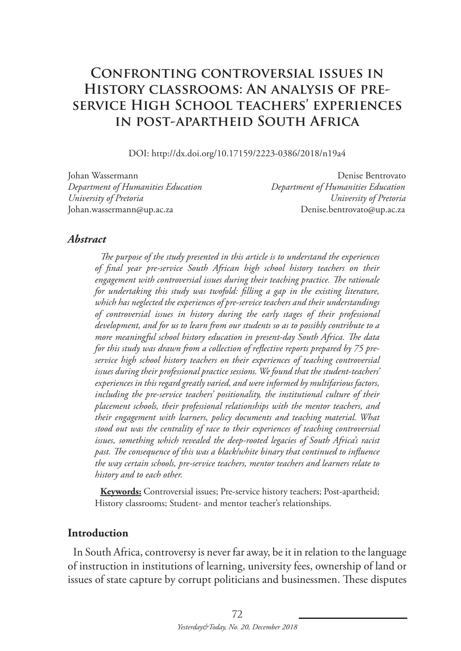# **Confronting controversial issues in History classrooms: An analysis of preservice High School teachers' experiences in post-apartheid South Africa**

DOI: http://dx.doi.org/10.17159/2223-0386/2018/n19a4

*Department of Humanities Education Department of Humanities Education University of Pretoria University of Pretoria* Johan.wassermann@up.ac.za Denise.bentrovato@up.ac.za

Johan Wassermann Denise Bentrovato

#### *Abstract*

*The purpose of the study presented in this article is to understand the experiences of final year pre-service South African high school history teachers on their engagement with controversial issues during their teaching practice. The rationale for undertaking this study was twofold: filling a gap in the existing literature, which has neglected the experiences of pre-service teachers and their understandings of controversial issues in history during the early stages of their professional development, and for us to learn from our students so as to possibly contribute to a more meaningful school history education in present-day South Africa. The data for this study was drawn from a collection of reflective reports prepared by 75 preservice high school history teachers on their experiences of teaching controversial issues during their professional practice sessions. We found that the student-teachers' experiences in this regard greatly varied, and were informed by multifarious factors, including the pre-service teachers' positionality, the institutional culture of their placement schools, their professional relationships with the mentor teachers, and their engagement with learners, policy documents and teaching material. What stood out was the centrality of race to their experiences of teaching controversial issues, something which revealed the deep-rooted legacies of South Africa's racist past. The consequence of this was a black/white binary that continued to influence the way certain schools, pre-service teachers, mentor teachers and learners relate to history and to each other.*

**Keywords:** Controversial issues; Pre-service history teachers; Post-apartheid; History classrooms; Student- and mentor teacher's relationships.

#### **Introduction**

In South Africa, controversy is never far away, be it in relation to the language of instruction in institutions of learning, university fees, ownership of land or issues of state capture by corrupt politicians and businessmen. These disputes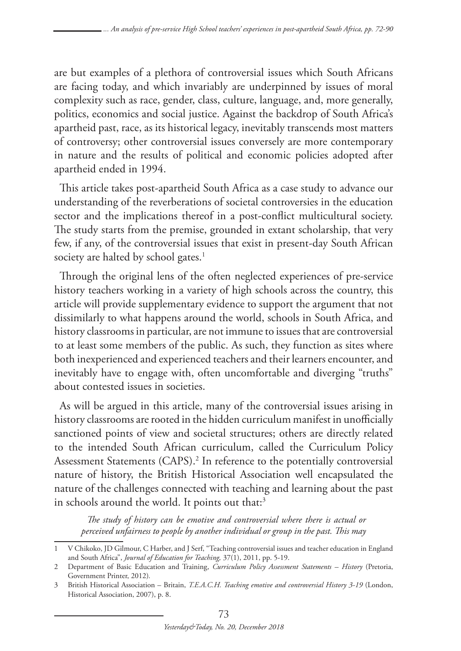are but examples of a plethora of controversial issues which South Africans are facing today, and which invariably are underpinned by issues of moral complexity such as race, gender, class, culture, language, and, more generally, politics, economics and social justice. Against the backdrop of South Africa's apartheid past, race, as its historical legacy, inevitably transcends most matters of controversy; other controversial issues conversely are more contemporary in nature and the results of political and economic policies adopted after apartheid ended in 1994.

This article takes post-apartheid South Africa as a case study to advance our understanding of the reverberations of societal controversies in the education sector and the implications thereof in a post-conflict multicultural society. The study starts from the premise, grounded in extant scholarship, that very few, if any, of the controversial issues that exist in present-day South African society are halted by school gates.<sup>1</sup>

Through the original lens of the often neglected experiences of pre-service history teachers working in a variety of high schools across the country, this article will provide supplementary evidence to support the argument that not dissimilarly to what happens around the world, schools in South Africa, and history classrooms in particular, are not immune to issues that are controversial to at least some members of the public. As such, they function as sites where both inexperienced and experienced teachers and their learners encounter, and inevitably have to engage with, often uncomfortable and diverging "truths" about contested issues in societies.

As will be argued in this article, many of the controversial issues arising in history classrooms are rooted in the hidden curriculum manifest in unofficially sanctioned points of view and societal structures; others are directly related to the intended South African curriculum, called the Curriculum Policy Assessment Statements (CAPS).2 In reference to the potentially controversial nature of history, the British Historical Association well encapsulated the nature of the challenges connected with teaching and learning about the past in schools around the world. It points out that:<sup>3</sup>

*The study of history can be emotive and controversial where there is actual or perceived unfairness to people by another individual or group in the past. This may* 

<sup>1</sup> V Chikoko, JD Gilmour, C Harber, and J Serf, "Teaching controversial issues and teacher education in England and South Africa", *Journal of Education for Teaching,* 37(1), 2011, pp. 5-19.

<sup>2</sup> Department of Basic Education and Training, *Curriculum Policy Assessment Statements – History* (Pretoria, Government Printer, 2012)*.*

<sup>3</sup> British Historical Association – Britain, *T.E.A.C.H. Teaching emotive and controversial History 3-19* (London, Historical Association, 2007), p. 8.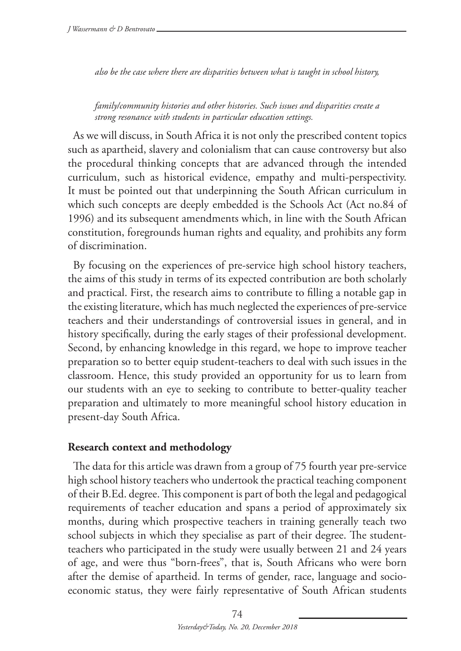*also be the case where there are disparities between what is taught in school history,* 

*family/community histories and other histories. Such issues and disparities create a strong resonance with students in particular education settings.* 

As we will discuss, in South Africa it is not only the prescribed content topics such as apartheid, slavery and colonialism that can cause controversy but also the procedural thinking concepts that are advanced through the intended curriculum, such as historical evidence, empathy and multi-perspectivity. It must be pointed out that underpinning the South African curriculum in which such concepts are deeply embedded is the Schools Act (Act no.84 of 1996) and its subsequent amendments which, in line with the South African constitution, foregrounds human rights and equality, and prohibits any form of discrimination.

By focusing on the experiences of pre-service high school history teachers, the aims of this study in terms of its expected contribution are both scholarly and practical. First, the research aims to contribute to filling a notable gap in the existing literature, which has much neglected the experiences of pre-service teachers and their understandings of controversial issues in general, and in history specifically, during the early stages of their professional development. Second, by enhancing knowledge in this regard, we hope to improve teacher preparation so to better equip student-teachers to deal with such issues in the classroom. Hence, this study provided an opportunity for us to learn from our students with an eye to seeking to contribute to better-quality teacher preparation and ultimately to more meaningful school history education in present-day South Africa.

#### **Research context and methodology**

The data for this article was drawn from a group of 75 fourth year pre-service high school history teachers who undertook the practical teaching component of their B.Ed. degree. This component is part of both the legal and pedagogical requirements of teacher education and spans a period of approximately six months, during which prospective teachers in training generally teach two school subjects in which they specialise as part of their degree. The studentteachers who participated in the study were usually between 21 and 24 years of age, and were thus "born-frees", that is, South Africans who were born after the demise of apartheid. In terms of gender, race, language and socioeconomic status, they were fairly representative of South African students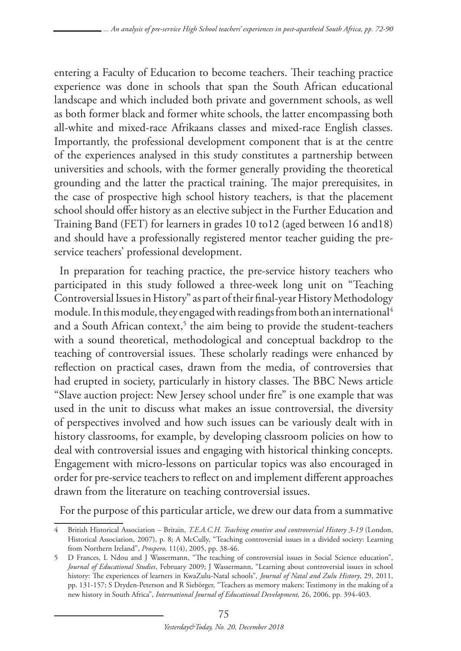entering a Faculty of Education to become teachers. Their teaching practice experience was done in schools that span the South African educational landscape and which included both private and government schools, as well as both former black and former white schools, the latter encompassing both all-white and mixed-race Afrikaans classes and mixed-race English classes. Importantly, the professional development component that is at the centre of the experiences analysed in this study constitutes a partnership between universities and schools, with the former generally providing the theoretical grounding and the latter the practical training. The major prerequisites, in the case of prospective high school history teachers, is that the placement school should offer history as an elective subject in the Further Education and Training Band (FET) for learners in grades 10 to12 (aged between 16 and18) and should have a professionally registered mentor teacher guiding the preservice teachers' professional development.

In preparation for teaching practice, the pre-service history teachers who participated in this study followed a three-week long unit on "Teaching Controversial Issues in History" as part of their final-year History Methodology module. In this module, they engaged with readings from both an international<sup>4</sup> and a South African context,<sup>5</sup> the aim being to provide the student-teachers with a sound theoretical, methodological and conceptual backdrop to the teaching of controversial issues. These scholarly readings were enhanced by reflection on practical cases, drawn from the media, of controversies that had erupted in society, particularly in history classes. The BBC News article "Slave auction project: New Jersey school under fire" is one example that was used in the unit to discuss what makes an issue controversial, the diversity of perspectives involved and how such issues can be variously dealt with in history classrooms, for example, by developing classroom policies on how to deal with controversial issues and engaging with historical thinking concepts. Engagement with micro-lessons on particular topics was also encouraged in order for pre-service teachers to reflect on and implement different approaches drawn from the literature on teaching controversial issues.

For the purpose of this particular article, we drew our data from a summative

<sup>4</sup> British Historical Association – Britain, *T.E.A.C.H. Teaching emotive and controversial History 3-19* (London, Historical Association, 2007), p. 8; A McCully, "Teaching controversial issues in a divided society: Learning from Northern Ireland", *Prospero,* 11(4), 2005, pp. 38-46.

<sup>5</sup> D Frances, L Ndou and J Wassermann, "The teaching of controversial issues in Social Science education", *Journal of Educational Studies*, February 2009; J Wassermann, "Learning about controversial issues in school history: The experiences of learners in KwaZulu-Natal schools"*, Journal of Natal and Zulu History*, 29, 2011, pp. 131-157; S Dryden-Peterson and R Siebörger, "Teachers as memory makers: Testimony in the making of a new history in South Africa", *International Journal of Educational Development,* 26, 2006, pp. 394-403.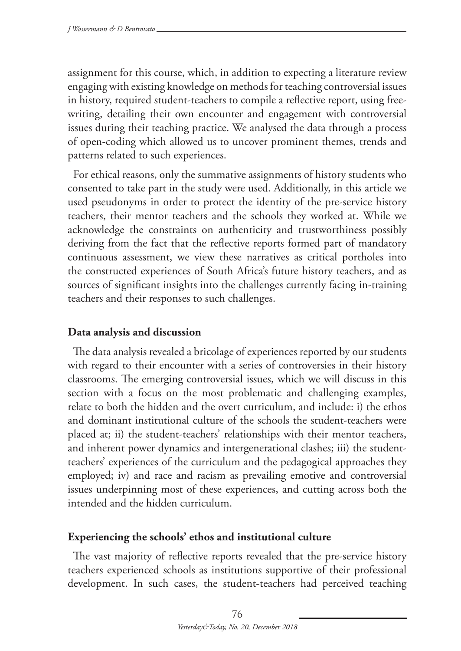assignment for this course, which, in addition to expecting a literature review engaging with existing knowledge on methods for teaching controversial issues in history, required student-teachers to compile a reflective report, using freewriting, detailing their own encounter and engagement with controversial issues during their teaching practice. We analysed the data through a process of open-coding which allowed us to uncover prominent themes, trends and patterns related to such experiences.

For ethical reasons, only the summative assignments of history students who consented to take part in the study were used. Additionally, in this article we used pseudonyms in order to protect the identity of the pre-service history teachers, their mentor teachers and the schools they worked at. While we acknowledge the constraints on authenticity and trustworthiness possibly deriving from the fact that the reflective reports formed part of mandatory continuous assessment, we view these narratives as critical portholes into the constructed experiences of South Africa's future history teachers, and as sources of significant insights into the challenges currently facing in-training teachers and their responses to such challenges.

### **Data analysis and discussion**

The data analysis revealed a bricolage of experiences reported by our students with regard to their encounter with a series of controversies in their history classrooms. The emerging controversial issues, which we will discuss in this section with a focus on the most problematic and challenging examples, relate to both the hidden and the overt curriculum, and include: i) the ethos and dominant institutional culture of the schools the student-teachers were placed at; ii) the student-teachers' relationships with their mentor teachers, and inherent power dynamics and intergenerational clashes; iii) the studentteachers' experiences of the curriculum and the pedagogical approaches they employed; iv) and race and racism as prevailing emotive and controversial issues underpinning most of these experiences, and cutting across both the intended and the hidden curriculum.

## **Experiencing the schools' ethos and institutional culture**

The vast majority of reflective reports revealed that the pre-service history teachers experienced schools as institutions supportive of their professional development. In such cases, the student-teachers had perceived teaching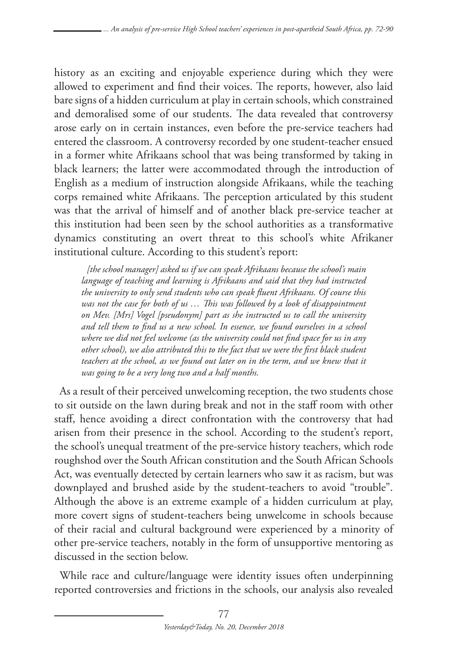history as an exciting and enjoyable experience during which they were allowed to experiment and find their voices. The reports, however, also laid bare signs of a hidden curriculum at play in certain schools, which constrained and demoralised some of our students. The data revealed that controversy arose early on in certain instances, even before the pre-service teachers had entered the classroom. A controversy recorded by one student-teacher ensued in a former white Afrikaans school that was being transformed by taking in black learners; the latter were accommodated through the introduction of English as a medium of instruction alongside Afrikaans, while the teaching corps remained white Afrikaans. The perception articulated by this student was that the arrival of himself and of another black pre-service teacher at this institution had been seen by the school authorities as a transformative dynamics constituting an overt threat to this school's white Afrikaner institutional culture. According to this student's report:

*[the school manager] asked us if we can speak Afrikaans because the school's main language of teaching and learning is Afrikaans and said that they had instructed the university to only send students who can speak fluent Afrikaans. Of course this was not the case for both of us … This was followed by a look of disappointment on Mev. [Mrs] Vogel [pseudonym] part as she instructed us to call the university and tell them to find us a new school. In essence, we found ourselves in a school where we did not feel welcome (as the university could not find space for us in any other school), we also attributed this to the fact that we were the first black student*  teachers at the school, as we found out later on in the term, and we knew that it *was going to be a very long two and a half months.*

As a result of their perceived unwelcoming reception, the two students chose to sit outside on the lawn during break and not in the staff room with other staff, hence avoiding a direct confrontation with the controversy that had arisen from their presence in the school. According to the student's report, the school's unequal treatment of the pre-service history teachers, which rode roughshod over the South African constitution and the South African Schools Act, was eventually detected by certain learners who saw it as racism, but was downplayed and brushed aside by the student-teachers to avoid "trouble". Although the above is an extreme example of a hidden curriculum at play, more covert signs of student-teachers being unwelcome in schools because of their racial and cultural background were experienced by a minority of other pre-service teachers, notably in the form of unsupportive mentoring as discussed in the section below.

While race and culture/language were identity issues often underpinning reported controversies and frictions in the schools, our analysis also revealed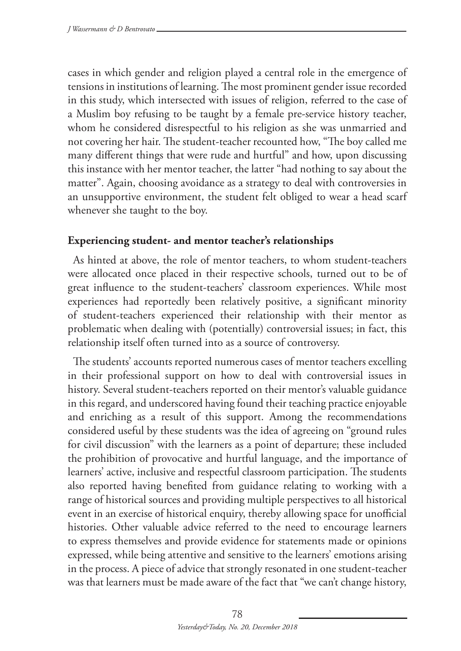cases in which gender and religion played a central role in the emergence of tensions in institutions of learning. The most prominent gender issue recorded in this study, which intersected with issues of religion, referred to the case of a Muslim boy refusing to be taught by a female pre-service history teacher, whom he considered disrespectful to his religion as she was unmarried and not covering her hair. The student-teacher recounted how, "The boy called me many different things that were rude and hurtful" and how, upon discussing this instance with her mentor teacher, the latter "had nothing to say about the matter". Again, choosing avoidance as a strategy to deal with controversies in an unsupportive environment, the student felt obliged to wear a head scarf whenever she taught to the boy.

### **Experiencing student- and mentor teacher's relationships**

As hinted at above, the role of mentor teachers, to whom student-teachers were allocated once placed in their respective schools, turned out to be of great influence to the student-teachers' classroom experiences. While most experiences had reportedly been relatively positive, a significant minority of student-teachers experienced their relationship with their mentor as problematic when dealing with (potentially) controversial issues; in fact, this relationship itself often turned into as a source of controversy.

The students' accounts reported numerous cases of mentor teachers excelling in their professional support on how to deal with controversial issues in history. Several student-teachers reported on their mentor's valuable guidance in this regard, and underscored having found their teaching practice enjoyable and enriching as a result of this support. Among the recommendations considered useful by these students was the idea of agreeing on "ground rules for civil discussion" with the learners as a point of departure; these included the prohibition of provocative and hurtful language, and the importance of learners' active, inclusive and respectful classroom participation. The students also reported having benefited from guidance relating to working with a range of historical sources and providing multiple perspectives to all historical event in an exercise of historical enquiry, thereby allowing space for unofficial histories. Other valuable advice referred to the need to encourage learners to express themselves and provide evidence for statements made or opinions expressed, while being attentive and sensitive to the learners' emotions arising in the process. A piece of advice that strongly resonated in one student-teacher was that learners must be made aware of the fact that "we can't change history,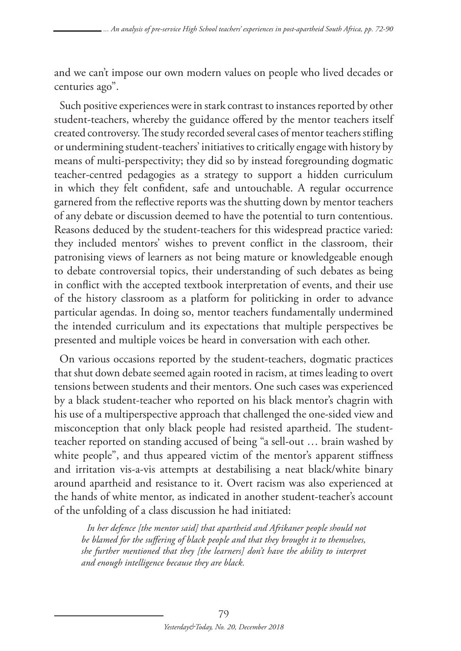and we can't impose our own modern values on people who lived decades or centuries ago".

Such positive experiences were in stark contrast to instances reported by other student-teachers, whereby the guidance offered by the mentor teachers itself created controversy. The study recorded several cases of mentor teachers stifling or undermining student-teachers' initiatives to critically engage with history by means of multi-perspectivity; they did so by instead foregrounding dogmatic teacher-centred pedagogies as a strategy to support a hidden curriculum in which they felt confident, safe and untouchable. A regular occurrence garnered from the reflective reports was the shutting down by mentor teachers of any debate or discussion deemed to have the potential to turn contentious. Reasons deduced by the student-teachers for this widespread practice varied: they included mentors' wishes to prevent conflict in the classroom, their patronising views of learners as not being mature or knowledgeable enough to debate controversial topics, their understanding of such debates as being in conflict with the accepted textbook interpretation of events, and their use of the history classroom as a platform for politicking in order to advance particular agendas. In doing so, mentor teachers fundamentally undermined the intended curriculum and its expectations that multiple perspectives be presented and multiple voices be heard in conversation with each other.

On various occasions reported by the student-teachers, dogmatic practices that shut down debate seemed again rooted in racism, at times leading to overt tensions between students and their mentors. One such cases was experienced by a black student-teacher who reported on his black mentor's chagrin with his use of a multiperspective approach that challenged the one-sided view and misconception that only black people had resisted apartheid. The studentteacher reported on standing accused of being "a sell-out … brain washed by white people", and thus appeared victim of the mentor's apparent stiffness and irritation vis-a-vis attempts at destabilising a neat black/white binary around apartheid and resistance to it. Overt racism was also experienced at the hands of white mentor, as indicated in another student-teacher's account of the unfolding of a class discussion he had initiated:

*In her defence [the mentor said] that apartheid and Afrikaner people should not be blamed for the suffering of black people and that they brought it to themselves, she further mentioned that they [the learners] don't have the ability to interpret and enough intelligence because they are black.*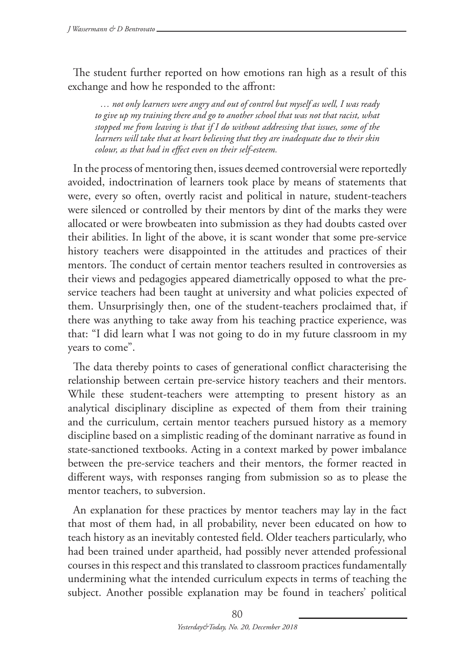The student further reported on how emotions ran high as a result of this exchange and how he responded to the affront:

*… not only learners were angry and out of control but myself as well, I was ready to give up my training there and go to another school that was not that racist, what stopped me from leaving is that if I do without addressing that issues, some of the learners will take that at heart believing that they are inadequate due to their skin colour, as that had in effect even on their self-esteem.*

In the process of mentoring then, issues deemed controversial were reportedly avoided, indoctrination of learners took place by means of statements that were, every so often, overtly racist and political in nature, student-teachers were silenced or controlled by their mentors by dint of the marks they were allocated or were browbeaten into submission as they had doubts casted over their abilities. In light of the above, it is scant wonder that some pre-service history teachers were disappointed in the attitudes and practices of their mentors. The conduct of certain mentor teachers resulted in controversies as their views and pedagogies appeared diametrically opposed to what the preservice teachers had been taught at university and what policies expected of them. Unsurprisingly then, one of the student-teachers proclaimed that, if there was anything to take away from his teaching practice experience, was that: "I did learn what I was not going to do in my future classroom in my years to come".

The data thereby points to cases of generational conflict characterising the relationship between certain pre-service history teachers and their mentors. While these student-teachers were attempting to present history as an analytical disciplinary discipline as expected of them from their training and the curriculum, certain mentor teachers pursued history as a memory discipline based on a simplistic reading of the dominant narrative as found in state-sanctioned textbooks. Acting in a context marked by power imbalance between the pre-service teachers and their mentors, the former reacted in different ways, with responses ranging from submission so as to please the mentor teachers, to subversion.

An explanation for these practices by mentor teachers may lay in the fact that most of them had, in all probability, never been educated on how to teach history as an inevitably contested field. Older teachers particularly, who had been trained under apartheid, had possibly never attended professional courses in this respect and this translated to classroom practices fundamentally undermining what the intended curriculum expects in terms of teaching the subject. Another possible explanation may be found in teachers' political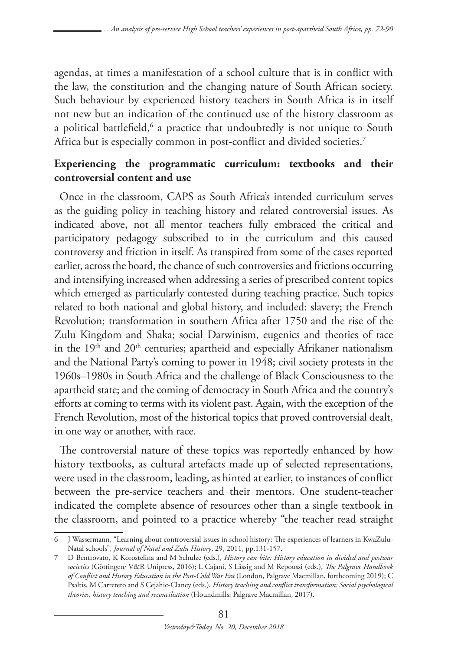agendas, at times a manifestation of a school culture that is in conflict with the law, the constitution and the changing nature of South African society. Such behaviour by experienced history teachers in South Africa is in itself not new but an indication of the continued use of the history classroom as a political battlefield,<sup>6</sup> a practice that undoubtedly is not unique to South Africa but is especially common in post-conflict and divided societies.<sup>7</sup>

# **Experiencing the programmatic curriculum: textbooks and their controversial content and use**

Once in the classroom, CAPS as South Africa's intended curriculum serves as the guiding policy in teaching history and related controversial issues. As indicated above, not all mentor teachers fully embraced the critical and participatory pedagogy subscribed to in the curriculum and this caused controversy and friction in itself. As transpired from some of the cases reported earlier, across the board, the chance of such controversies and frictions occurring and intensifying increased when addressing a series of prescribed content topics which emerged as particularly contested during teaching practice. Such topics related to both national and global history, and included: slavery; the French Revolution; transformation in southern Africa after 1750 and the rise of the Zulu Kingdom and Shaka; social Darwinism, eugenics and theories of race in the  $19<sup>th</sup>$  and  $20<sup>th</sup>$  centuries; apartheid and especially Afrikaner nationalism and the National Party's coming to power in 1948; civil society protests in the 1960s–1980s in South Africa and the challenge of Black Consciousness to the apartheid state; and the coming of democracy in South Africa and the country's efforts at coming to terms with its violent past. Again, with the exception of the French Revolution, most of the historical topics that proved controversial dealt, in one way or another, with race.

The controversial nature of these topics was reportedly enhanced by how history textbooks, as cultural artefacts made up of selected representations, were used in the classroom, leading, as hinted at earlier, to instances of conflict between the pre-service teachers and their mentors. One student-teacher indicated the complete absence of resources other than a single textbook in the classroom, and pointed to a practice whereby "the teacher read straight

<sup>6</sup> J Wassermann, "Learning about controversial issues in school history: The experiences of learners in KwaZulu-Natal schools"*, Journal of Natal and Zulu History*, 29, 2011, pp.131-157.

<sup>7</sup> D Bentrovato, K Korostelina and M Schulze (eds.), *History can bite: History education in divided and postwar societies* (Göttingen*:* V&R Unipress, 2016); L Cajani, S Lässig and M Repoussi (eds.), *The Palgrave Handbook of Conflict and History Education in the Post-Cold War Era* (London, Palgrave Macmillan, forthcoming 2019); C Psaltis, M Carretero and S Cejahic-Clancy (eds.), *History teaching and conflict transformation: Social psychological theories, history teaching and reconciliation* (Houndmills: Palgrave Macmillan, 2017).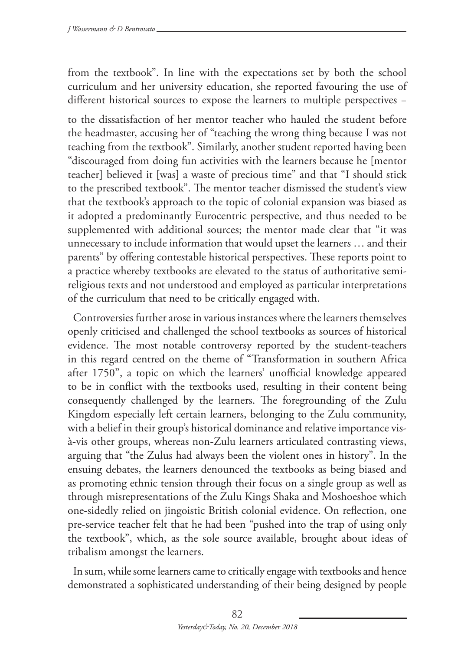from the textbook". In line with the expectations set by both the school curriculum and her university education, she reported favouring the use of different historical sources to expose the learners to multiple perspectives −

to the dissatisfaction of her mentor teacher who hauled the student before the headmaster, accusing her of "teaching the wrong thing because I was not teaching from the textbook". Similarly, another student reported having been "discouraged from doing fun activities with the learners because he [mentor teacher] believed it [was] a waste of precious time" and that "I should stick to the prescribed textbook". The mentor teacher dismissed the student's view that the textbook's approach to the topic of colonial expansion was biased as it adopted a predominantly Eurocentric perspective, and thus needed to be supplemented with additional sources; the mentor made clear that "it was unnecessary to include information that would upset the learners … and their parents" by offering contestable historical perspectives. These reports point to a practice whereby textbooks are elevated to the status of authoritative semireligious texts and not understood and employed as particular interpretations of the curriculum that need to be critically engaged with.

Controversies further arose in various instances where the learners themselves openly criticised and challenged the school textbooks as sources of historical evidence. The most notable controversy reported by the student-teachers in this regard centred on the theme of "Transformation in southern Africa after 1750", a topic on which the learners' unofficial knowledge appeared to be in conflict with the textbooks used, resulting in their content being consequently challenged by the learners. The foregrounding of the Zulu Kingdom especially left certain learners, belonging to the Zulu community, with a belief in their group's historical dominance and relative importance visà-vis other groups, whereas non-Zulu learners articulated contrasting views, arguing that "the Zulus had always been the violent ones in history". In the ensuing debates, the learners denounced the textbooks as being biased and as promoting ethnic tension through their focus on a single group as well as through misrepresentations of the Zulu Kings Shaka and Moshoeshoe which one-sidedly relied on jingoistic British colonial evidence. On reflection, one pre-service teacher felt that he had been "pushed into the trap of using only the textbook", which, as the sole source available, brought about ideas of tribalism amongst the learners.

In sum, while some learners came to critically engage with textbooks and hence demonstrated a sophisticated understanding of their being designed by people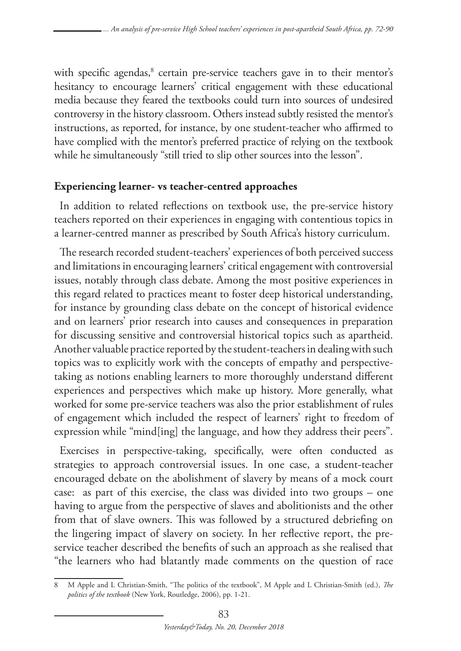with specific agendas,<sup>8</sup> certain pre-service teachers gave in to their mentor's hesitancy to encourage learners' critical engagement with these educational media because they feared the textbooks could turn into sources of undesired controversy in the history classroom. Others instead subtly resisted the mentor's instructions, as reported, for instance, by one student-teacher who affirmed to have complied with the mentor's preferred practice of relying on the textbook while he simultaneously "still tried to slip other sources into the lesson".

### **Experiencing learner- vs teacher-centred approaches**

In addition to related reflections on textbook use, the pre-service history teachers reported on their experiences in engaging with contentious topics in a learner-centred manner as prescribed by South Africa's history curriculum.

The research recorded student-teachers' experiences of both perceived success and limitations in encouraging learners' critical engagement with controversial issues, notably through class debate. Among the most positive experiences in this regard related to practices meant to foster deep historical understanding, for instance by grounding class debate on the concept of historical evidence and on learners' prior research into causes and consequences in preparation for discussing sensitive and controversial historical topics such as apartheid. Another valuable practice reported by the student-teachers in dealing with such topics was to explicitly work with the concepts of empathy and perspectivetaking as notions enabling learners to more thoroughly understand different experiences and perspectives which make up history. More generally, what worked for some pre-service teachers was also the prior establishment of rules of engagement which included the respect of learners' right to freedom of expression while "mind[ing] the language, and how they address their peers".

Exercises in perspective-taking, specifically, were often conducted as strategies to approach controversial issues. In one case, a student-teacher encouraged debate on the abolishment of slavery by means of a mock court case: as part of this exercise, the class was divided into two groups – one having to argue from the perspective of slaves and abolitionists and the other from that of slave owners. This was followed by a structured debriefing on the lingering impact of slavery on society. In her reflective report, the preservice teacher described the benefits of such an approach as she realised that "the learners who had blatantly made comments on the question of race

<sup>8</sup> M Apple and L Christian-Smith, "The politics of the textbook", M Apple and L Christian-Smith (ed.), *The politics of the textbook* (New York, Routledge, 2006), pp. 1-21.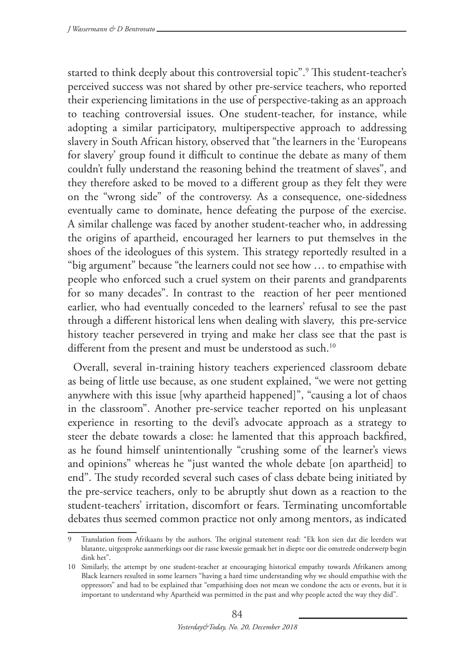started to think deeply about this controversial topic".9 This student-teacher's perceived success was not shared by other pre-service teachers, who reported their experiencing limitations in the use of perspective-taking as an approach to teaching controversial issues. One student-teacher, for instance, while adopting a similar participatory, multiperspective approach to addressing slavery in South African history, observed that "the learners in the 'Europeans for slavery' group found it difficult to continue the debate as many of them couldn't fully understand the reasoning behind the treatment of slaves", and they therefore asked to be moved to a different group as they felt they were on the "wrong side" of the controversy. As a consequence, one-sidedness eventually came to dominate, hence defeating the purpose of the exercise. A similar challenge was faced by another student-teacher who, in addressing the origins of apartheid, encouraged her learners to put themselves in the shoes of the ideologues of this system. This strategy reportedly resulted in a "big argument" because "the learners could not see how … to empathise with people who enforced such a cruel system on their parents and grandparents for so many decades". In contrast to the reaction of her peer mentioned earlier, who had eventually conceded to the learners' refusal to see the past through a different historical lens when dealing with slavery, this pre-service history teacher persevered in trying and make her class see that the past is different from the present and must be understood as such.<sup>10</sup>

Overall, several in-training history teachers experienced classroom debate as being of little use because, as one student explained, "we were not getting anywhere with this issue [why apartheid happened]", "causing a lot of chaos in the classroom". Another pre-service teacher reported on his unpleasant experience in resorting to the devil's advocate approach as a strategy to steer the debate towards a close: he lamented that this approach backfired, as he found himself unintentionally "crushing some of the learner's views and opinions" whereas he "just wanted the whole debate [on apartheid] to end". The study recorded several such cases of class debate being initiated by the pre-service teachers, only to be abruptly shut down as a reaction to the student-teachers' irritation, discomfort or fears. Terminating uncomfortable debates thus seemed common practice not only among mentors, as indicated

<sup>9</sup> Translation from Afrikaans by the authors. The original statement read: "Ek kon sien dat die leerders wat blatante, uitgesproke aanmerkings oor die rasse kwessie gemaak het in diepte oor die omstrede onderwerp begin dink het".

<sup>10</sup> Similarly, the attempt by one student-teacher at encouraging historical empathy towards Afrikaners among Black learners resulted in some learners "having a hard time understanding why we should empathise with the oppressors" and had to be explained that "empathising does not mean we condone the acts or events, but it is important to understand why Apartheid was permitted in the past and why people acted the way they did".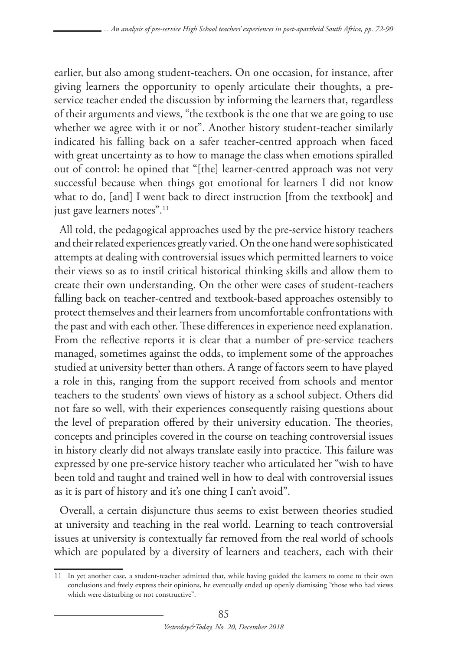earlier, but also among student-teachers. On one occasion, for instance, after giving learners the opportunity to openly articulate their thoughts, a preservice teacher ended the discussion by informing the learners that, regardless of their arguments and views, "the textbook is the one that we are going to use whether we agree with it or not". Another history student-teacher similarly indicated his falling back on a safer teacher-centred approach when faced with great uncertainty as to how to manage the class when emotions spiralled out of control: he opined that "[the] learner-centred approach was not very successful because when things got emotional for learners I did not know what to do, [and] I went back to direct instruction [from the textbook] and just gave learners notes".<sup>11</sup>

All told, the pedagogical approaches used by the pre-service history teachers and their related experiences greatly varied. On the one hand were sophisticated attempts at dealing with controversial issues which permitted learners to voice their views so as to instil critical historical thinking skills and allow them to create their own understanding. On the other were cases of student-teachers falling back on teacher-centred and textbook-based approaches ostensibly to protect themselves and their learners from uncomfortable confrontations with the past and with each other. These differences in experience need explanation. From the reflective reports it is clear that a number of pre-service teachers managed, sometimes against the odds, to implement some of the approaches studied at university better than others. A range of factors seem to have played a role in this, ranging from the support received from schools and mentor teachers to the students' own views of history as a school subject. Others did not fare so well, with their experiences consequently raising questions about the level of preparation offered by their university education. The theories, concepts and principles covered in the course on teaching controversial issues in history clearly did not always translate easily into practice. This failure was expressed by one pre-service history teacher who articulated her "wish to have been told and taught and trained well in how to deal with controversial issues as it is part of history and it's one thing I can't avoid".

Overall, a certain disjuncture thus seems to exist between theories studied at university and teaching in the real world. Learning to teach controversial issues at university is contextually far removed from the real world of schools which are populated by a diversity of learners and teachers, each with their

<sup>11</sup> In yet another case, a student-teacher admitted that, while having guided the learners to come to their own conclusions and freely express their opinions, he eventually ended up openly dismissing "those who had views which were disturbing or not constructive".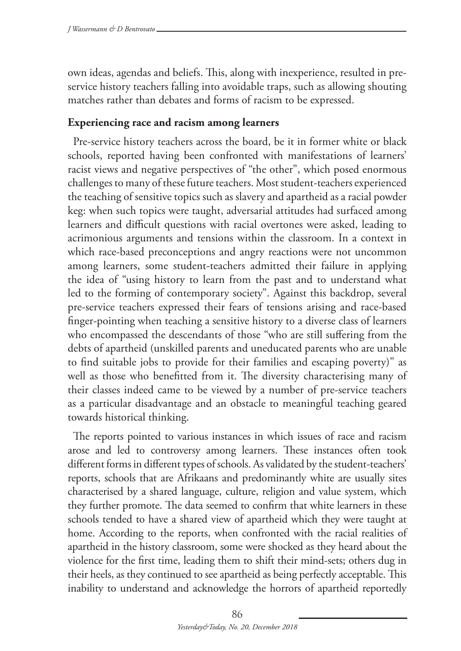own ideas, agendas and beliefs. This, along with inexperience, resulted in preservice history teachers falling into avoidable traps, such as allowing shouting matches rather than debates and forms of racism to be expressed.

# **Experiencing race and racism among learners**

Pre-service history teachers across the board, be it in former white or black schools, reported having been confronted with manifestations of learners' racist views and negative perspectives of "the other", which posed enormous challenges to many of these future teachers. Most student-teachers experienced the teaching of sensitive topics such as slavery and apartheid as a racial powder keg: when such topics were taught, adversarial attitudes had surfaced among learners and difficult questions with racial overtones were asked, leading to acrimonious arguments and tensions within the classroom. In a context in which race-based preconceptions and angry reactions were not uncommon among learners, some student-teachers admitted their failure in applying the idea of "using history to learn from the past and to understand what led to the forming of contemporary society". Against this backdrop, several pre-service teachers expressed their fears of tensions arising and race-based finger-pointing when teaching a sensitive history to a diverse class of learners who encompassed the descendants of those "who are still suffering from the debts of apartheid (unskilled parents and uneducated parents who are unable to find suitable jobs to provide for their families and escaping poverty)" as well as those who benefitted from it. The diversity characterising many of their classes indeed came to be viewed by a number of pre-service teachers as a particular disadvantage and an obstacle to meaningful teaching geared towards historical thinking.

The reports pointed to various instances in which issues of race and racism arose and led to controversy among learners. These instances often took different forms in different types of schools. As validated by the student-teachers' reports, schools that are Afrikaans and predominantly white are usually sites characterised by a shared language, culture, religion and value system, which they further promote. The data seemed to confirm that white learners in these schools tended to have a shared view of apartheid which they were taught at home. According to the reports, when confronted with the racial realities of apartheid in the history classroom, some were shocked as they heard about the violence for the first time, leading them to shift their mind-sets; others dug in their heels, as they continued to see apartheid as being perfectly acceptable. This inability to understand and acknowledge the horrors of apartheid reportedly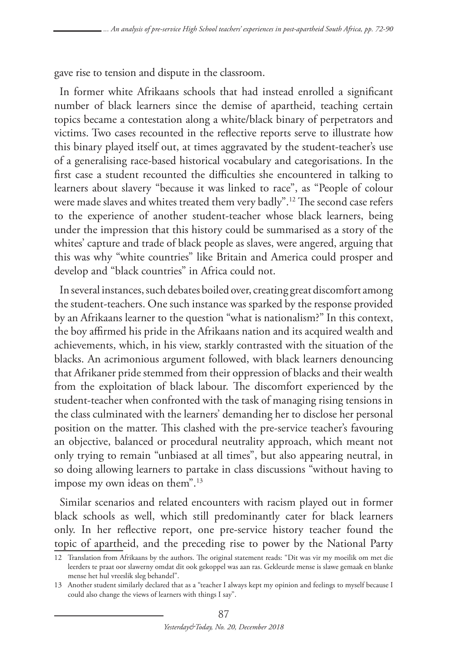gave rise to tension and dispute in the classroom.

In former white Afrikaans schools that had instead enrolled a significant number of black learners since the demise of apartheid, teaching certain topics became a contestation along a white/black binary of perpetrators and victims. Two cases recounted in the reflective reports serve to illustrate how this binary played itself out, at times aggravated by the student-teacher's use of a generalising race-based historical vocabulary and categorisations. In the first case a student recounted the difficulties she encountered in talking to learners about slavery "because it was linked to race", as "People of colour were made slaves and whites treated them very badly".12 The second case refers to the experience of another student-teacher whose black learners, being under the impression that this history could be summarised as a story of the whites' capture and trade of black people as slaves, were angered, arguing that this was why "white countries" like Britain and America could prosper and develop and "black countries" in Africa could not.

In several instances, such debates boiled over, creating great discomfort among the student-teachers. One such instance was sparked by the response provided by an Afrikaans learner to the question "what is nationalism?" In this context, the boy affirmed his pride in the Afrikaans nation and its acquired wealth and achievements, which, in his view, starkly contrasted with the situation of the blacks. An acrimonious argument followed, with black learners denouncing that Afrikaner pride stemmed from their oppression of blacks and their wealth from the exploitation of black labour. The discomfort experienced by the student-teacher when confronted with the task of managing rising tensions in the class culminated with the learners' demanding her to disclose her personal position on the matter. This clashed with the pre-service teacher's favouring an objective, balanced or procedural neutrality approach, which meant not only trying to remain "unbiased at all times", but also appearing neutral, in so doing allowing learners to partake in class discussions "without having to impose my own ideas on them".<sup>13</sup>

Similar scenarios and related encounters with racism played out in former black schools as well, which still predominantly cater for black learners only. In her reflective report, one pre-service history teacher found the topic of apartheid, and the preceding rise to power by the National Party

<sup>12</sup> Translation from Afrikaans by the authors. The original statement reads: "Dit was vir my moeilik om met die leerders te praat oor slawerny omdat dit ook gekoppel was aan ras. Gekleurde mense is slawe gemaak en blanke mense het hul vreeslik sleg behandel".

<sup>13</sup> Another student similarly declared that as a "teacher I always kept my opinion and feelings to myself because I could also change the views of learners with things I say".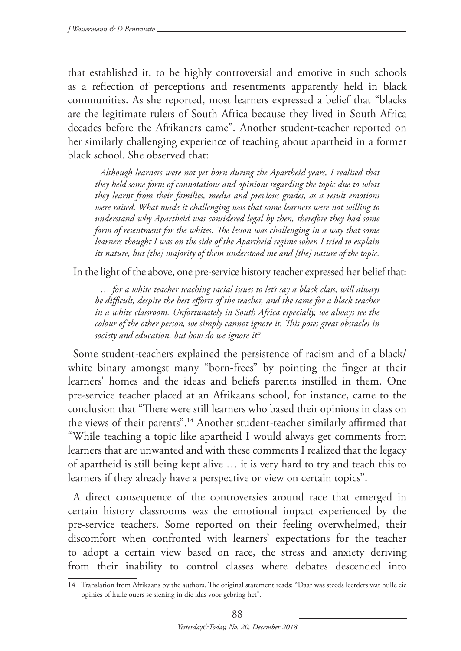that established it, to be highly controversial and emotive in such schools as a reflection of perceptions and resentments apparently held in black communities. As she reported, most learners expressed a belief that "blacks are the legitimate rulers of South Africa because they lived in South Africa decades before the Afrikaners came". Another student-teacher reported on her similarly challenging experience of teaching about apartheid in a former black school. She observed that:

*Although learners were not yet born during the Apartheid years, I realised that they held some form of connotations and opinions regarding the topic due to what they learnt from their families, media and previous grades, as a result emotions were raised. What made it challenging was that some learners were not willing to understand why Apartheid was considered legal by then, therefore they had some form of resentment for the whites. The lesson was challenging in a way that some learners thought I was on the side of the Apartheid regime when I tried to explain its nature, but [the] majority of them understood me and [the] nature of the topic.* 

In the light of the above, one pre-service history teacher expressed her belief that:

*… for a white teacher teaching racial issues to let's say a black class, will always be difficult, despite the best efforts of the teacher, and the same for a black teacher in a white classroom. Unfortunately in South Africa especially, we always see the colour of the other person, we simply cannot ignore it. This poses great obstacles in society and education, but how do we ignore it?*

Some student-teachers explained the persistence of racism and of a black/ white binary amongst many "born-frees" by pointing the finger at their learners' homes and the ideas and beliefs parents instilled in them. One pre-service teacher placed at an Afrikaans school, for instance, came to the conclusion that "There were still learners who based their opinions in class on the views of their parents".14 Another student-teacher similarly affirmed that "While teaching a topic like apartheid I would always get comments from learners that are unwanted and with these comments I realized that the legacy of apartheid is still being kept alive … it is very hard to try and teach this to learners if they already have a perspective or view on certain topics".

A direct consequence of the controversies around race that emerged in certain history classrooms was the emotional impact experienced by the pre-service teachers. Some reported on their feeling overwhelmed, their discomfort when confronted with learners' expectations for the teacher to adopt a certain view based on race, the stress and anxiety deriving from their inability to control classes where debates descended into

<sup>14</sup> Translation from Afrikaans by the authors. The original statement reads: "Daar was steeds leerders wat hulle eie opinies of hulle ouers se siening in die klas voor gebring het".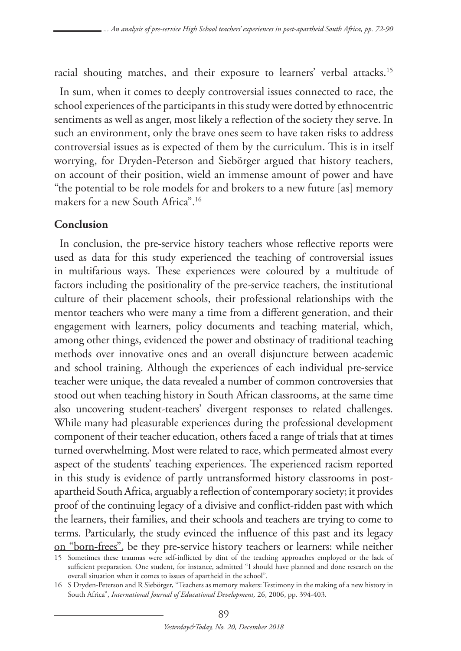racial shouting matches, and their exposure to learners' verbal attacks.15

In sum, when it comes to deeply controversial issues connected to race, the school experiences of the participants in this study were dotted by ethnocentric sentiments as well as anger, most likely a reflection of the society they serve. In such an environment, only the brave ones seem to have taken risks to address controversial issues as is expected of them by the curriculum. This is in itself worrying, for Dryden-Peterson and Siebörger argued that history teachers, on account of their position, wield an immense amount of power and have "the potential to be role models for and brokers to a new future [as] memory makers for a new South Africa".16

### **Conclusion**

In conclusion, the pre-service history teachers whose reflective reports were used as data for this study experienced the teaching of controversial issues in multifarious ways. These experiences were coloured by a multitude of factors including the positionality of the pre-service teachers, the institutional culture of their placement schools, their professional relationships with the mentor teachers who were many a time from a different generation, and their engagement with learners, policy documents and teaching material, which, among other things, evidenced the power and obstinacy of traditional teaching methods over innovative ones and an overall disjuncture between academic and school training. Although the experiences of each individual pre-service teacher were unique, the data revealed a number of common controversies that stood out when teaching history in South African classrooms, at the same time also uncovering student-teachers' divergent responses to related challenges. While many had pleasurable experiences during the professional development component of their teacher education, others faced a range of trials that at times turned overwhelming. Most were related to race, which permeated almost every aspect of the students' teaching experiences. The experienced racism reported in this study is evidence of partly untransformed history classrooms in postapartheid South Africa, arguably a reflection of contemporary society; it provides proof of the continuing legacy of a divisive and conflict-ridden past with which the learners, their families, and their schools and teachers are trying to come to terms. Particularly, the study evinced the influence of this past and its legacy on "born-frees", be they pre-service history teachers or learners: while neither

<sup>15</sup> Sometimes these traumas were self-inflicted by dint of the teaching approaches employed or the lack of sufficient preparation. One student, for instance, admitted "I should have planned and done research on the overall situation when it comes to issues of apartheid in the school".

<sup>16</sup> S Dryden-Peterson and R Siebörger, "Teachers as memory makers: Testimony in the making of a new history in South Africa", *International Journal of Educational Development,* 26, 2006, pp. 394-403.